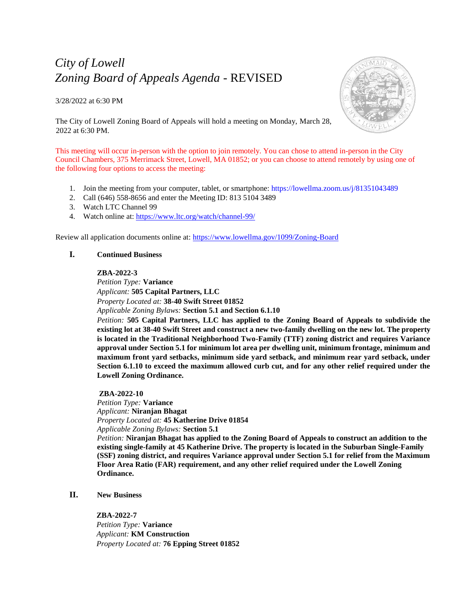# *City of Lowell Zoning Board of Appeals Agenda* - REVISED

3/28/2022 at 6:30 PM



The City of Lowell Zoning Board of Appeals will hold a meeting on Monday, March 28, 2022 at 6:30 PM.

This meeting will occur in-person with the option to join remotely. You can chose to attend in-person in the City Council Chambers, 375 Merrimack Street, Lowell, MA 01852; or you can choose to attend remotely by using one of the following four options to access the meeting:

- 1. Join the meeting from your computer, tablet, or smartphone:<https://lowellma.zoom.us/j/81351043489>
- 2. Call (646) 558-8656 and enter the Meeting ID: 813 5104 3489
- 3. Watch LTC Channel 99
- 4. Watch online at:<https://www.ltc.org/watch/channel-99/>

Review all application documents online at:<https://www.lowellma.gov/1099/Zoning-Board>

## **I. Continued Business**

#### **ZBA-2022-3**

*Petition Type:* **Variance** *Applicant:* **505 Capital Partners, LLC** *Property Located at:* **38-40 Swift Street 01852** *Applicable Zoning Bylaws:* **Section 5.1 and Section 6.1.10**

*Petition:* **505 Capital Partners, LLC has applied to the Zoning Board of Appeals to subdivide the existing lot at 38-40 Swift Street and construct a new two-family dwelling on the new lot. The property is located in the Traditional Neighborhood Two-Family (TTF) zoning district and requires Variance approval under Section 5.1 for minimum lot area per dwelling unit, minimum frontage, minimum and maximum front yard setbacks, minimum side yard setback, and minimum rear yard setback, under Section 6.1.10 to exceed the maximum allowed curb cut, and for any other relief required under the Lowell Zoning Ordinance.**

#### **ZBA-2022-10**

*Petition Type:* **Variance** *Applicant:* **Niranjan Bhagat** *Property Located at:* **45 Katherine Drive 01854** *Applicable Zoning Bylaws:* **Section 5.1**

*Petition:* **Niranjan Bhagat has applied to the Zoning Board of Appeals to construct an addition to the existing single-family at 45 Katherine Drive. The property is located in the Suburban Single-Family (SSF) zoning district, and requires Variance approval under Section 5.1 for relief from the Maximum Floor Area Ratio (FAR) requirement, and any other relief required under the Lowell Zoning Ordinance.**

# **II. New Business**

**ZBA-2022-7** *Petition Type:* **Variance** *Applicant:* **KM Construction** *Property Located at:* **76 Epping Street 01852**